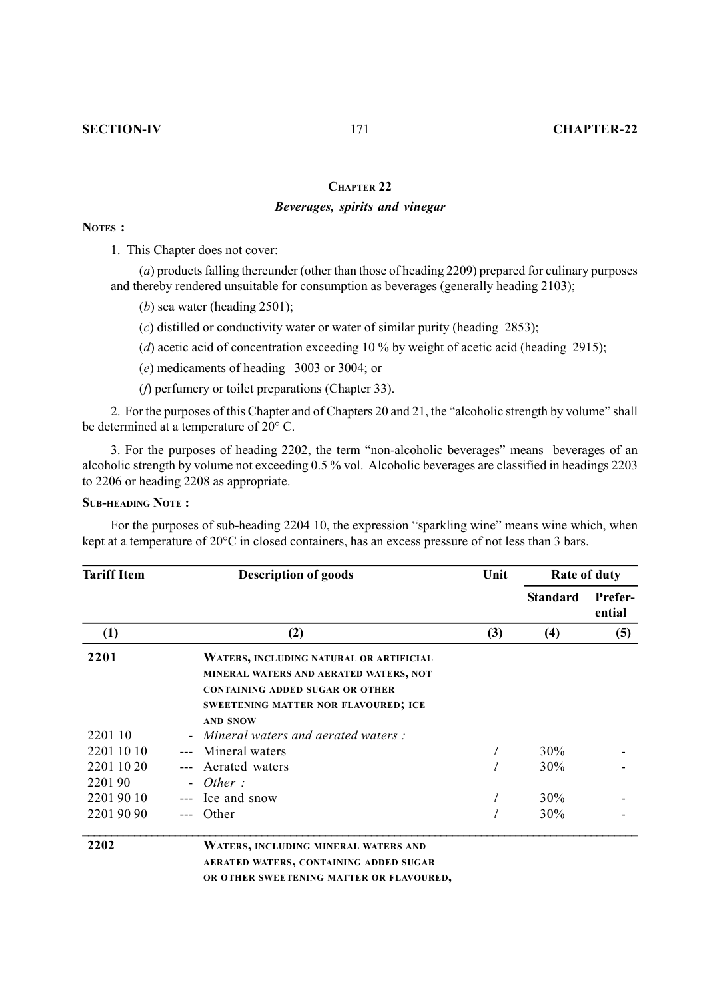### **CHAPTER 22**

## *Beverages, spirits and vinegar*

## **NOTES :**

1. This Chapter does not cover:

(*a*) products falling thereunder (other than those of heading 2209) prepared for culinary purposes and thereby rendered unsuitable for consumption as beverages (generally heading 2103);

- (*b*) sea water (heading 2501);
- (*c*) distilled or conductivity water or water of similar purity (heading 2853);
- (*d*) acetic acid of concentration exceeding 10 % by weight of acetic acid (heading 2915);
- (*e*) medicaments of heading 3003 or 3004; or
- (*f*) perfumery or toilet preparations (Chapter 33).

2. For the purposes of this Chapter and of Chapters 20 and 21, the "alcoholic strength by volume" shall be determined at a temperature of 20° C.

3. For the purposes of heading 2202, the term "non-alcoholic beverages" means beverages of an alcoholic strength by volume not exceeding 0.5 % vol. Alcoholic beverages are classified in headings 2203 to 2206 or heading 2208 as appropriate.

### **SUB-HEADING NOTE :**

For the purposes of sub-heading 2204 10, the expression "sparkling wine" means wine which, when kept at a temperature of 20°C in closed containers, has an excess pressure of not less than 3 bars.

| <b>Tariff Item</b>   | <b>Description of goods</b>                                                                                                                                         | Unit |                 | <b>Rate of duty</b>      |  |
|----------------------|---------------------------------------------------------------------------------------------------------------------------------------------------------------------|------|-----------------|--------------------------|--|
|                      |                                                                                                                                                                     |      | <b>Standard</b> | <b>Prefer-</b><br>ential |  |
| (1)                  | (2)                                                                                                                                                                 | (3)  | (4)             | (5)                      |  |
| 2201                 | WATERS, INCLUDING NATURAL OR ARTIFICIAL<br>MINERAL WATERS AND AERATED WATERS, NOT<br><b>CONTAINING ADDED SUGAR OR OTHER</b><br>SWEETENING MATTER NOR FLAVOURED; ICE |      |                 |                          |  |
| 2201 10              | <b>AND SNOW</b><br>Mineral waters and aerated waters :                                                                                                              |      |                 |                          |  |
| 2201 10 10           | Mineral waters                                                                                                                                                      |      | 30%             |                          |  |
| 2201 10 20<br>220190 | Aerated waters<br>Other:                                                                                                                                            |      | 30%             |                          |  |
| 22019010             | Ice and snow                                                                                                                                                        |      | 30%             |                          |  |
| 2201 90 90           | Other                                                                                                                                                               |      | 30%             |                          |  |
| 2202                 | WATERS, INCLUDING MINERAL WATERS AND<br>AERATED WATERS, CONTAINING ADDED SUGAR                                                                                      |      |                 |                          |  |

**OR OTHER SWEETENING MATTER OR FLAVOURED,**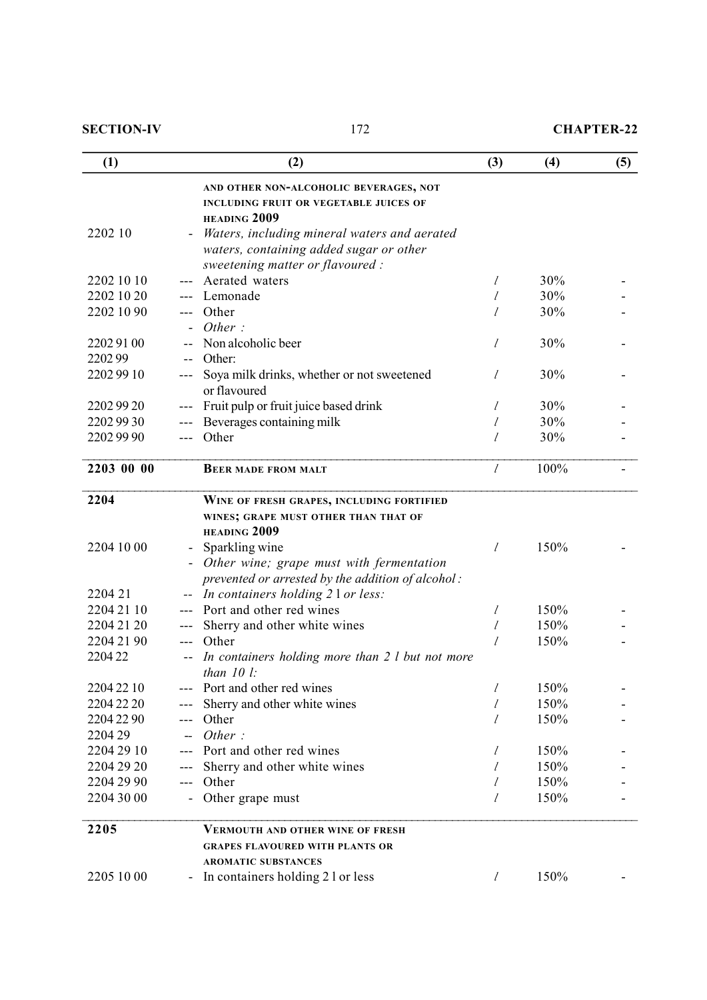| (1)        |               | (2)                                                             | (3)                         | (4)  | (5) |
|------------|---------------|-----------------------------------------------------------------|-----------------------------|------|-----|
|            |               | AND OTHER NON-ALCOHOLIC BEVERAGES, NOT                          |                             |      |     |
|            |               | <b>INCLUDING FRUIT OR VEGETABLE JUICES OF</b><br>HEADING 2009   |                             |      |     |
| 2202 10    |               | Waters, including mineral waters and aerated                    |                             |      |     |
|            |               | waters, containing added sugar or other                         |                             |      |     |
|            |               | sweetening matter or flavoured :                                |                             |      |     |
| 2202 10 10 |               | Aerated waters                                                  | $\ell$                      | 30%  |     |
| 2202 10 20 |               | Lemonade                                                        | $\ell$                      | 30%  |     |
| 2202 10 90 |               | Other                                                           | l                           | 30%  |     |
|            |               | Other:                                                          |                             |      |     |
| 22029100   |               | Non alcoholic beer                                              | $\mathcal{I}_{\mathcal{I}}$ | 30%  |     |
| 220299     | $ -$          | Other:                                                          |                             |      |     |
| 22029910   |               | Soya milk drinks, whether or not sweetened                      | l                           | 30%  |     |
|            |               | or flavoured                                                    |                             |      |     |
| 22029920   |               | Fruit pulp or fruit juice based drink                           | l                           | 30%  |     |
| 2202 99 30 |               | Beverages containing milk                                       | l                           | 30%  |     |
| 2202 99 90 | $\frac{1}{2}$ | Other                                                           | I                           | 30%  |     |
| 2203 00 00 |               | <b>BEER MADE FROM MALT</b>                                      | $\mathcal{I}_{\mathcal{I}}$ | 100% |     |
| 2204       |               | WINE OF FRESH GRAPES, INCLUDING FORTIFIED                       |                             |      |     |
|            |               | WINES; GRAPE MUST OTHER THAN THAT OF                            |                             |      |     |
|            |               | HEADING 2009                                                    |                             |      |     |
| 2204 10 00 |               | Sparkling wine                                                  | $\mathcal{I}_{\mathcal{I}}$ | 150% |     |
|            |               | Other wine; grape must with fermentation                        |                             |      |     |
|            |               | prevented or arrested by the addition of alcohol:               |                             |      |     |
| 2204 21    |               | In containers holding 2 l or less:                              |                             |      |     |
| 2204 21 10 |               | Port and other red wines                                        | l                           | 150% |     |
| 2204 21 20 |               | Sherry and other white wines                                    | l                           | 150% |     |
| 2204 21 90 | $---$         | Other                                                           | l                           | 150% |     |
| 220422     |               | In containers holding more than 2 l but not more<br>than $10 l$ |                             |      |     |
| 2204 22 10 |               | Port and other red wines                                        | l                           | 150% |     |
| 2204 22 20 |               | Sherry and other white wines                                    | l                           | 150% |     |
| 2204 22 90 | $---$         | Other                                                           | l                           | 150% |     |
| 2204 29    |               | Other:                                                          |                             |      |     |
| 2204 29 10 | $---$         | Port and other red wines                                        | l                           | 150% |     |
| 2204 29 20 |               | Sherry and other white wines                                    | l                           | 150% |     |
| 2204 29 90 | ---           | Other                                                           | l                           | 150% |     |
| 2204 30 00 |               | Other grape must                                                | l                           | 150% |     |
| 2205       |               | <b>VERMOUTH AND OTHER WINE OF FRESH</b>                         |                             |      |     |
|            |               | <b>GRAPES FLAVOURED WITH PLANTS OR</b>                          |                             |      |     |
|            |               | <b>AROMATIC SUBSTANCES</b>                                      |                             |      |     |
| 2205 10 00 |               | In containers holding 2 l or less                               | $\mathcal{I}$               | 150% |     |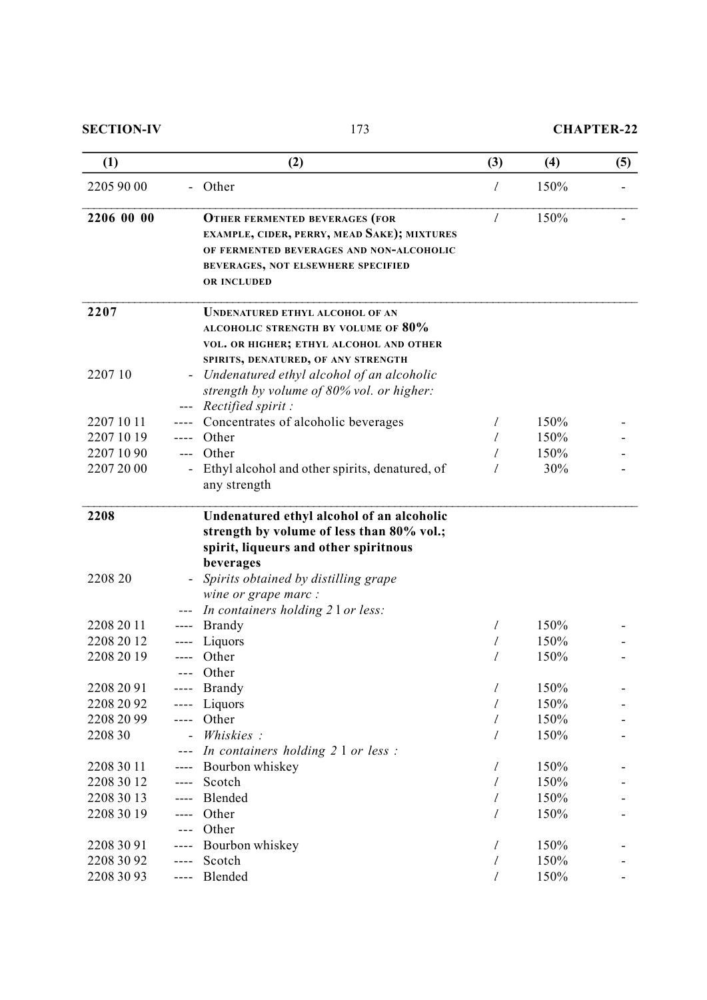| (1)             |                | (2)                                                                                                                                                                                                          | (3)                         | (4)  | (5) |
|-----------------|----------------|--------------------------------------------------------------------------------------------------------------------------------------------------------------------------------------------------------------|-----------------------------|------|-----|
| 2205 90 00      |                | Other                                                                                                                                                                                                        | l                           | 150% |     |
| 2206 00 00      |                | <b>OTHER FERMENTED BEVERAGES (FOR</b><br>EXAMPLE, CIDER, PERRY, MEAD SAKE); MIXTURES<br>OF FERMENTED BEVERAGES AND NON-ALCOHOLIC<br><b>BEVERAGES, NOT ELSEWHERE SPECIFIED</b><br>OR INCLUDED                 | $\mathcal{I}_{\mathcal{I}}$ | 150% |     |
| 2207            |                | <b>UNDENATURED ETHYL ALCOHOL OF AN</b><br><b>ALCOHOLIC STRENGTH BY VOLUME OF 80%</b><br>VOL. OR HIGHER; ETHYL ALCOHOL AND OTHER<br>SPIRITS, DENATURED, OF ANY STRENGTH                                       |                             |      |     |
| 2207 10         |                | Undenatured ethyl alcohol of an alcoholic<br>strength by volume of 80% vol. or higher:<br>Rectified spirit:                                                                                                  |                             |      |     |
| 2207 10 11      |                | Concentrates of alcoholic beverages                                                                                                                                                                          | l                           | 150% |     |
| 2207 10 19      |                | Other                                                                                                                                                                                                        | I                           | 150% |     |
| 2207 10 90      |                | Other                                                                                                                                                                                                        | l                           | 150% |     |
| 2207 20 00      |                | Ethyl alcohol and other spirits, denatured, of<br>any strength                                                                                                                                               |                             | 30%  |     |
| 2208<br>2208 20 |                | Undenatured ethyl alcohol of an alcoholic<br>strength by volume of less than 80% vol.;<br>spirit, liqueurs and other spiritnous<br>beverages<br>Spirits obtained by distilling grape<br>wine or grape marc : |                             |      |     |
|                 |                | In containers holding 2 l or less:                                                                                                                                                                           |                             |      |     |
| 2208 20 11      |                | <b>Brandy</b>                                                                                                                                                                                                | l                           | 150% |     |
| 2208 20 12      |                | Liquors                                                                                                                                                                                                      | l                           | 150% |     |
| 2208 20 19      |                | Other<br>Other                                                                                                                                                                                               | l                           | 150% |     |
| 2208 20 91      |                | <b>Brandy</b>                                                                                                                                                                                                | $\ell$                      | 150% |     |
| 2208 20 92      |                | Liquors                                                                                                                                                                                                      | l                           | 150% |     |
| 2208 20 99      | ----           | Other                                                                                                                                                                                                        | l                           | 150% |     |
| 2208 30         | $\overline{a}$ | Whiskies:                                                                                                                                                                                                    | l                           | 150% |     |
|                 |                | In containers holding 2 1 or less :                                                                                                                                                                          |                             |      |     |
| 2208 30 11      | $--- -$        | Bourbon whiskey                                                                                                                                                                                              | $\ell$                      | 150% |     |
| 2208 30 12      | $---$          | Scotch                                                                                                                                                                                                       | l                           | 150% |     |
| 2208 30 13      | ----           | Blended                                                                                                                                                                                                      | l                           | 150% |     |
| 2208 30 19      |                | Other                                                                                                                                                                                                        | l                           | 150% |     |
|                 |                | Other                                                                                                                                                                                                        |                             |      |     |
| 2208 30 91      |                | Bourbon whiskey                                                                                                                                                                                              | l                           | 150% |     |
| 2208 30 92      | ----           | Scotch                                                                                                                                                                                                       | $\ell$                      | 150% |     |
| 2208 30 93      | ----           | Blended                                                                                                                                                                                                      | l                           | 150% |     |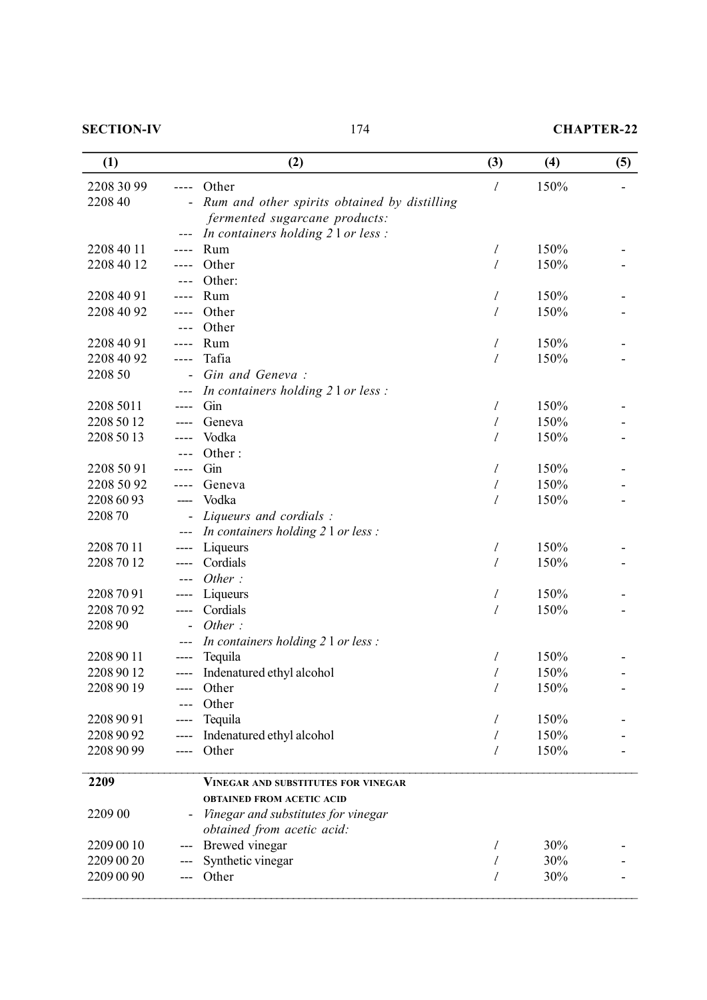# **SECTION-IV** 174 **CHAPTER-22**

| (1)                      |                          | (2)                                          | (3)                         | (4)          | (5) |
|--------------------------|--------------------------|----------------------------------------------|-----------------------------|--------------|-----|
| 2208 30 99               |                          | Other                                        | l                           | 150%         |     |
| 2208 40                  |                          | Rum and other spirits obtained by distilling |                             |              |     |
|                          |                          | fermented sugarcane products:                |                             |              |     |
|                          |                          | In containers holding 2 l or less :          |                             |              |     |
| 2208 40 11               |                          | Rum                                          | l                           | 150%         |     |
| 2208 40 12               |                          | Other                                        | l                           | 150%         |     |
|                          |                          | Other:                                       |                             |              |     |
| 2208 40 91               |                          | Rum                                          | l                           | 150%         |     |
| 2208 40 92               |                          | Other                                        | $\ell$                      | 150%         |     |
|                          |                          | Other                                        |                             |              |     |
| 2208 40 91<br>2208 40 92 |                          | Rum<br>Tafia                                 | $\ell$                      | 150%<br>150% |     |
| 2208 50                  | ----                     | Gin and Geneva:                              | l                           |              |     |
|                          |                          | In containers holding 2 l or less :          |                             |              |     |
| 2208 5011                |                          | Gin                                          | l                           | 150%         |     |
| 2208 50 12               |                          | Geneva                                       | l                           | 150%         |     |
| 2208 50 13               |                          | Vodka                                        | $\mathcal{I}_{\mathcal{I}}$ | 150%         |     |
|                          |                          | Other:                                       |                             |              |     |
| 2208 50 91               |                          | Gin                                          | l                           | 150%         |     |
| 2208 50 92               |                          | Geneva                                       | l                           | 150%         |     |
| 2208 60 93               | ----                     | Vodka                                        | $\ell$                      | 150%         |     |
| 220870                   |                          | Liqueurs and cordials :                      |                             |              |     |
|                          | ---                      | In containers holding 2 1 or less :          |                             |              |     |
| 2208 70 11               | ----                     | Liqueurs                                     | l                           | 150%         |     |
| 2208 70 12               |                          | Cordials                                     | $\mathcal{U}$               | 150%         |     |
|                          | ---                      | Other:                                       |                             |              |     |
| 2208 70 91               | ----                     | Liqueurs                                     | l                           | 150%         |     |
| 2208 70 92               | ----                     | Cordials                                     | $\ell$                      | 150%         |     |
| 220890                   |                          | Other:                                       |                             |              |     |
|                          |                          | In containers holding 2 1 or less :          |                             |              |     |
| 2208 90 11               |                          | Tequila                                      | $\ell$                      | 150%         |     |
| 2208 90 12               | ----                     | Indenatured ethyl alcohol                    | l                           | 150%         |     |
| 2208 90 19               |                          | Other                                        | $\mathcal{I}_{\mathcal{I}}$ | 150%         |     |
|                          |                          | Other                                        |                             |              |     |
| 2208 90 91               |                          | Tequila                                      | l                           | 150%         |     |
| 2208 90 92               |                          | Indenatured ethyl alcohol                    | $\ell$                      | 150%         |     |
| 2208 90 99               | ----                     | Other                                        | l                           | 150%         |     |
| 2209                     |                          | VINEGAR AND SUBSTITUTES FOR VINEGAR          |                             |              |     |
|                          |                          | <b>OBTAINED FROM ACETIC ACID</b>             |                             |              |     |
| 2209 00                  | $\overline{\phantom{a}}$ | Vinegar and substitutes for vinegar          |                             |              |     |
|                          |                          | obtained from acetic acid:                   |                             |              |     |
| 2209 00 10               |                          | Brewed vinegar                               | l                           | 30%          |     |
| 2209 00 20               |                          | Synthetic vinegar                            | $\ell$                      | 30%          |     |
| 2209 00 90               |                          | Other                                        | $\ell$                      | 30%          |     |
|                          |                          |                                              |                             |              |     |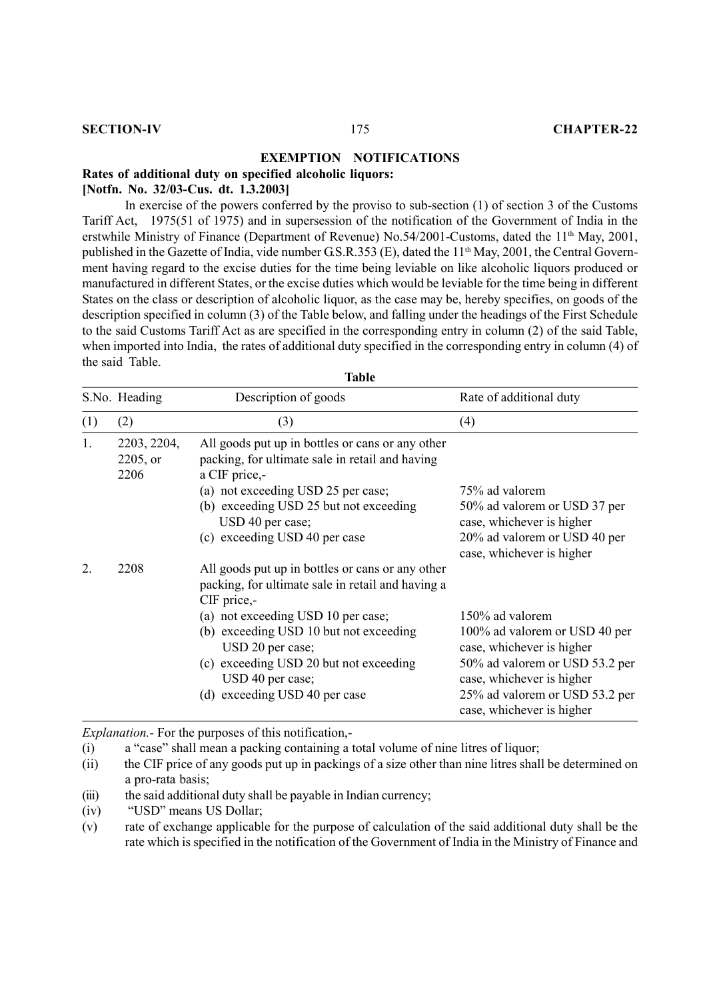### **EXEMPTION NOTIFICATIONS**

**Rates of additional duty on specified alcoholic liquors:**

### **[Notfn. No. 32/03-Cus. dt. 1.3.2003]**

In exercise of the powers conferred by the proviso to sub-section (1) of section 3 of the Customs Tariff Act, 1975(51 of 1975) and in supersession of the notification of the Government of India in the erstwhile Ministry of Finance (Department of Revenue) No.54/2001-Customs, dated the 11<sup>th</sup> May, 2001, published in the Gazette of India, vide number G.S.R.353 (E), dated the 11<sup>th</sup> May, 2001, the Central Government having regard to the excise duties for the time being leviable on like alcoholic liquors produced or manufactured in different States, or the excise duties which would be leviable for the time being in different States on the class or description of alcoholic liquor, as the case may be, hereby specifies, on goods of the description specified in column (3) of the Table below, and falling under the headings of the First Schedule to the said Customs Tariff Act as are specified in the corresponding entry in column (2) of the said Table, when imported into India, the rates of additional duty specified in the corresponding entry in column (4) of the said Table. **Table** 

|     | Table                              |                                                                                                                                                                                                                                                                                                                         |                                                                                                                                                                                                             |  |  |
|-----|------------------------------------|-------------------------------------------------------------------------------------------------------------------------------------------------------------------------------------------------------------------------------------------------------------------------------------------------------------------------|-------------------------------------------------------------------------------------------------------------------------------------------------------------------------------------------------------------|--|--|
|     | S.No. Heading                      | Description of goods                                                                                                                                                                                                                                                                                                    | Rate of additional duty                                                                                                                                                                                     |  |  |
| (1) | (2)                                | (3)                                                                                                                                                                                                                                                                                                                     | (4)                                                                                                                                                                                                         |  |  |
| 1.  | 2203, 2204,<br>$2205$ , or<br>2206 | All goods put up in bottles or cans or any other<br>packing, for ultimate sale in retail and having<br>a CIF price,-<br>(a) not exceeding USD 25 per case;<br>(b) exceeding USD 25 but not exceeding<br>USD 40 per case;<br>(c) exceeding USD 40 per case                                                               | 75% ad valorem<br>50% ad valorem or USD 37 per<br>case, whichever is higher<br>20% ad valorem or USD 40 per<br>case, whichever is higher                                                                    |  |  |
| 2.  | 2208                               | All goods put up in bottles or cans or any other<br>packing, for ultimate sale in retail and having a<br>CIF price,-<br>(a) not exceeding USD 10 per case;<br>(b) exceeding USD 10 but not exceeding<br>USD 20 per case;<br>(c) exceeding USD 20 but not exceeding<br>USD 40 per case;<br>(d) exceeding USD 40 per case | 150% ad valorem<br>100% ad valorem or USD 40 per<br>case, whichever is higher<br>50% ad valorem or USD 53.2 per<br>case, whichever is higher<br>25% ad valorem or USD 53.2 per<br>case, whichever is higher |  |  |

*Explanation.-* For the purposes of this notification,-

(i) a "case" shall mean a packing containing a total volume of nine litres of liquor;

- (ii) the CIF price of any goods put up in packings of a size other than nine litres shall be determined on a pro-rata basis;
- (iii) the said additional duty shall be payable in Indian currency;
- (iv) "USD" means US Dollar;
- (v) rate of exchange applicable for the purpose of calculation of the said additional duty shall be the rate which is specified in the notification of the Government of India in the Ministry of Finance and